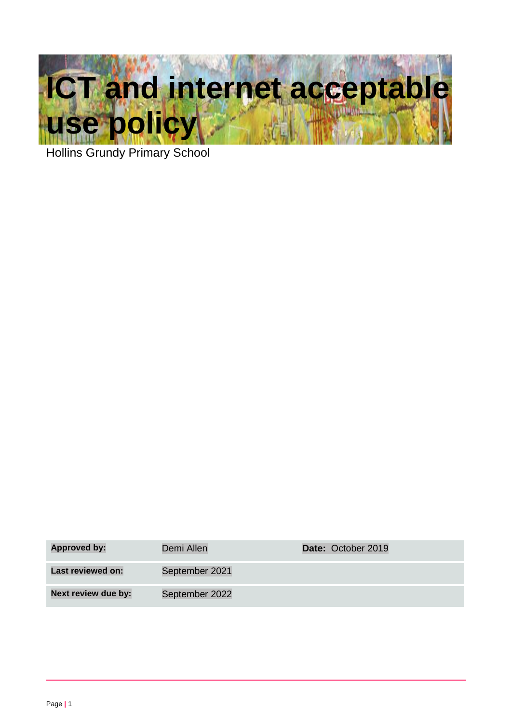

Hollins Grundy Primary School

| <b>Approved by:</b> | Demi Allen     | Date: October 2019 |
|---------------------|----------------|--------------------|
| Last reviewed on:   | September 2021 |                    |
| Next review due by: | September 2022 |                    |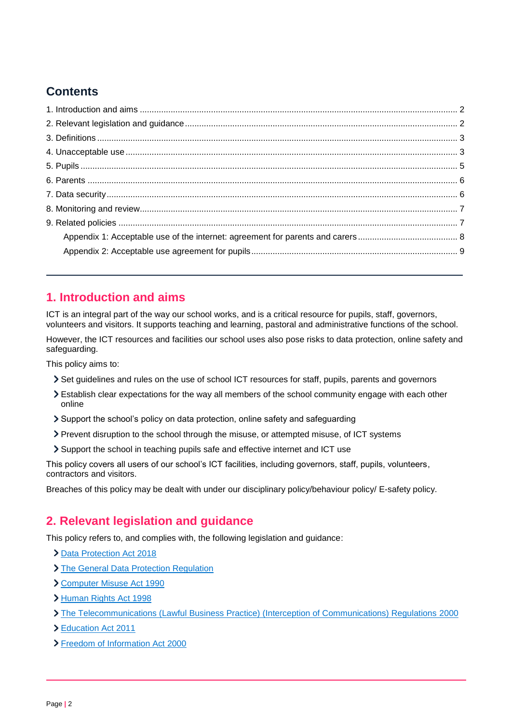# **Contents**

# <span id="page-1-0"></span>**1. Introduction and aims**

ICT is an integral part of the way our school works, and is a critical resource for pupils, staff, governors, volunteers and visitors. It supports teaching and learning, pastoral and administrative functions of the school.

However, the ICT resources and facilities our school uses also pose risks to data protection, online safety and safeguarding.

This policy aims to:

- Set guidelines and rules on the use of school ICT resources for staff, pupils, parents and governors
- Establish clear expectations for the way all members of the school community engage with each other online
- Support the school's policy on data protection, online safety and safeguarding
- Prevent disruption to the school through the misuse, or attempted misuse, of ICT systems
- Support the school in teaching pupils safe and effective internet and ICT use

This policy covers all users of our school's ICT facilities, including governors, staff, pupils, volunteers, contractors and visitors.

Breaches of this policy may be dealt with under our disciplinary policy/behaviour policy/ E-safety policy.

## <span id="page-1-1"></span>**2. Relevant legislation and guidance**

This policy refers to, and complies with, the following legislation and guidance:

- > [Data Protection Act 2018](http://www.legislation.gov.uk/ukpga/2018/12/contents/enacted)
- > [The General Data Protection Regulation](https://eur-lex.europa.eu/legal-content/EN/TXT/HTML/?uri=CELEX:32016R0679)
- [Computer Misuse Act 1990](https://www.legislation.gov.uk/ukpga/1990/18/contents)
- [Human Rights Act 1998](https://www.legislation.gov.uk/ukpga/1998/42/contents)
- [The Telecommunications \(Lawful Business Practice\) \(Interception of Communications\) Regulations 2000](https://www.legislation.gov.uk/uksi/2000/2699/regulation/3/made)
- [Education Act 2011](http://www.legislation.gov.uk/ukpga/2011/21/section/2/enacted)
- [Freedom of Information Act 2000](https://www.legislation.gov.uk/ukpga/2000/36/contents)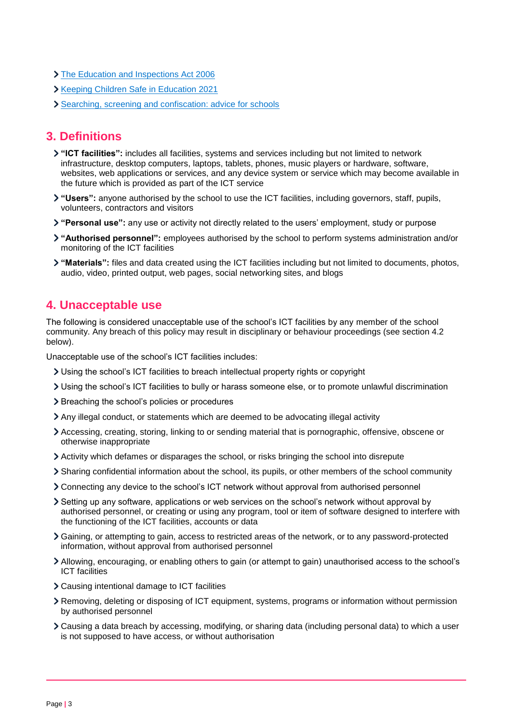- **> [The Education and Inspections Act 2006](https://www.legislation.gov.uk/ukpga/2006/40/part/7/chapter/1)**
- **Xeeping Children Safe in Education 2021**
- [Searching, screening and confiscation: advice for schools](https://www.gov.uk/government/publications/searching-screening-and-confiscation)

## <span id="page-2-0"></span>**3. Definitions**

- **"ICT facilities":** includes all facilities, systems and services including but not limited to network infrastructure, desktop computers, laptops, tablets, phones, music players or hardware, software, websites, web applications or services, and any device system or service which may become available in the future which is provided as part of the ICT service
- **"Users":** anyone authorised by the school to use the ICT facilities, including governors, staff, pupils, volunteers, contractors and visitors
- **"Personal use":** any use or activity not directly related to the users' employment, study or purpose
- **"Authorised personnel":** employees authorised by the school to perform systems administration and/or monitoring of the ICT facilities
- **"Materials":** files and data created using the ICT facilities including but not limited to documents, photos, audio, video, printed output, web pages, social networking sites, and blogs

## <span id="page-2-1"></span>**4. Unacceptable use**

The following is considered unacceptable use of the school's ICT facilities by any member of the school community. Any breach of this policy may result in disciplinary or behaviour proceedings (see section 4.2 below).

Unacceptable use of the school's ICT facilities includes:

- Using the school's ICT facilities to breach intellectual property rights or copyright
- Using the school's ICT facilities to bully or harass someone else, or to promote unlawful discrimination
- > Breaching the school's policies or procedures
- Any illegal conduct, or statements which are deemed to be advocating illegal activity
- Accessing, creating, storing, linking to or sending material that is pornographic, offensive, obscene or otherwise inappropriate
- Activity which defames or disparages the school, or risks bringing the school into disrepute
- Sharing confidential information about the school, its pupils, or other members of the school community
- Connecting any device to the school's ICT network without approval from authorised personnel
- Setting up any software, applications or web services on the school's network without approval by authorised personnel, or creating or using any program, tool or item of software designed to interfere with the functioning of the ICT facilities, accounts or data
- Gaining, or attempting to gain, access to restricted areas of the network, or to any password-protected information, without approval from authorised personnel
- Allowing, encouraging, or enabling others to gain (or attempt to gain) unauthorised access to the school's ICT facilities
- Causing intentional damage to ICT facilities
- Removing, deleting or disposing of ICT equipment, systems, programs or information without permission by authorised personnel
- Causing a data breach by accessing, modifying, or sharing data (including personal data) to which a user is not supposed to have access, or without authorisation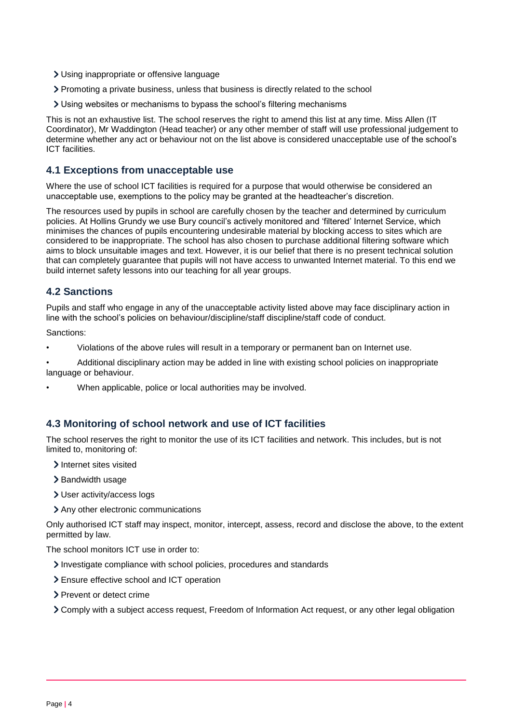- Using inappropriate or offensive language
- Promoting a private business, unless that business is directly related to the school
- Using websites or mechanisms to bypass the school's filtering mechanisms

This is not an exhaustive list. The school reserves the right to amend this list at any time. Miss Allen (IT Coordinator), Mr Waddington (Head teacher) or any other member of staff will use professional judgement to determine whether any act or behaviour not on the list above is considered unacceptable use of the school's ICT facilities.

#### **4.1 Exceptions from unacceptable use**

Where the use of school ICT facilities is required for a purpose that would otherwise be considered an unacceptable use, exemptions to the policy may be granted at the headteacher's discretion.

The resources used by pupils in school are carefully chosen by the teacher and determined by curriculum policies. At Hollins Grundy we use Bury council's actively monitored and 'filtered' Internet Service, which minimises the chances of pupils encountering undesirable material by blocking access to sites which are considered to be inappropriate. The school has also chosen to purchase additional filtering software which aims to block unsuitable images and text. However, it is our belief that there is no present technical solution that can completely guarantee that pupils will not have access to unwanted Internet material. To this end we build internet safety lessons into our teaching for all year groups.

## **4.2 Sanctions**

Pupils and staff who engage in any of the unacceptable activity listed above may face disciplinary action in line with the school's policies on behaviour/discipline/staff discipline/staff code of conduct.

Sanctions:

- Violations of the above rules will result in a temporary or permanent ban on Internet use.
- Additional disciplinary action may be added in line with existing school policies on inappropriate language or behaviour.
- When applicable, police or local authorities may be involved.

### **4.3 Monitoring of school network and use of ICT facilities**

The school reserves the right to monitor the use of its ICT facilities and network. This includes, but is not limited to, monitoring of:

- > Internet sites visited
- > Bandwidth usage
- User activity/access logs
- Any other electronic communications

Only authorised ICT staff may inspect, monitor, intercept, assess, record and disclose the above, to the extent permitted by law.

The school monitors ICT use in order to:

- Investigate compliance with school policies, procedures and standards
- Ensure effective school and ICT operation
- > Prevent or detect crime
- Comply with a subject access request, Freedom of Information Act request, or any other legal obligation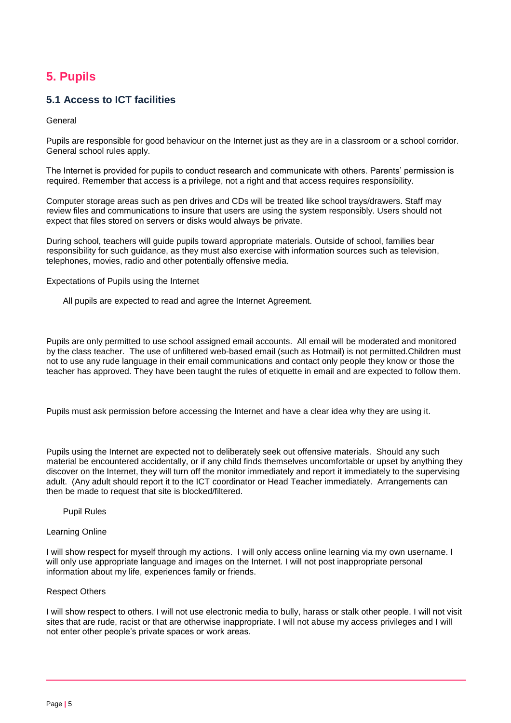# <span id="page-4-0"></span>**5. Pupils**

## **5.1 Access to ICT facilities**

General

Pupils are responsible for good behaviour on the Internet just as they are in a classroom or a school corridor. General school rules apply.

The Internet is provided for pupils to conduct research and communicate with others. Parents' permission is required. Remember that access is a privilege, not a right and that access requires responsibility.

Computer storage areas such as pen drives and CDs will be treated like school trays/drawers. Staff may review files and communications to insure that users are using the system responsibly. Users should not expect that files stored on servers or disks would always be private.

During school, teachers will guide pupils toward appropriate materials. Outside of school, families bear responsibility for such guidance, as they must also exercise with information sources such as television, telephones, movies, radio and other potentially offensive media.

Expectations of Pupils using the Internet

All pupils are expected to read and agree the Internet Agreement.

Pupils are only permitted to use school assigned email accounts. All email will be moderated and monitored by the class teacher. The use of unfiltered web-based email (such as Hotmail) is not permitted.Children must not to use any rude language in their email communications and contact only people they know or those the teacher has approved. They have been taught the rules of etiquette in email and are expected to follow them.

Pupils must ask permission before accessing the Internet and have a clear idea why they are using it.

Pupils using the Internet are expected not to deliberately seek out offensive materials. Should any such material be encountered accidentally, or if any child finds themselves uncomfortable or upset by anything they discover on the Internet, they will turn off the monitor immediately and report it immediately to the supervising adult. (Any adult should report it to the ICT coordinator or Head Teacher immediately. Arrangements can then be made to request that site is blocked/filtered.

#### Pupil Rules

#### Learning Online

I will show respect for myself through my actions. I will only access online learning via my own username. I will only use appropriate language and images on the Internet. I will not post inappropriate personal information about my life, experiences family or friends.

#### Respect Others

I will show respect to others. I will not use electronic media to bully, harass or stalk other people. I will not visit sites that are rude, racist or that are otherwise inappropriate. I will not abuse my access privileges and I will not enter other people's private spaces or work areas.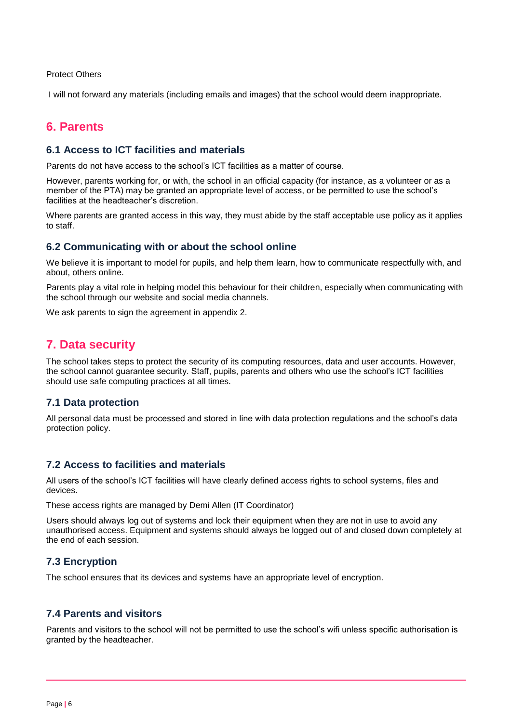Protect Others

I will not forward any materials (including emails and images) that the school would deem inappropriate.

## <span id="page-5-0"></span>**6. Parents**

#### **6.1 Access to ICT facilities and materials**

Parents do not have access to the school's ICT facilities as a matter of course.

However, parents working for, or with, the school in an official capacity (for instance, as a volunteer or as a member of the PTA) may be granted an appropriate level of access, or be permitted to use the school's facilities at the headteacher's discretion.

Where parents are granted access in this way, they must abide by the staff acceptable use policy as it applies to staff.

#### **6.2 Communicating with or about the school online**

We believe it is important to model for pupils, and help them learn, how to communicate respectfully with, and about, others online.

Parents play a vital role in helping model this behaviour for their children, especially when communicating with the school through our website and social media channels.

We ask parents to sign the agreement in appendix 2.

## <span id="page-5-1"></span>**7. Data security**

The school takes steps to protect the security of its computing resources, data and user accounts. However, the school cannot guarantee security. Staff, pupils, parents and others who use the school's ICT facilities should use safe computing practices at all times.

#### **7.1 Data protection**

All personal data must be processed and stored in line with data protection regulations and the school's data protection policy.

#### **7.2 Access to facilities and materials**

All users of the school's ICT facilities will have clearly defined access rights to school systems, files and devices.

These access rights are managed by Demi Allen (IT Coordinator)

Users should always log out of systems and lock their equipment when they are not in use to avoid any unauthorised access. Equipment and systems should always be logged out of and closed down completely at the end of each session.

### **7.3 Encryption**

The school ensures that its devices and systems have an appropriate level of encryption.

#### **7.4 Parents and visitors**

Parents and visitors to the school will not be permitted to use the school's wifi unless specific authorisation is granted by the headteacher.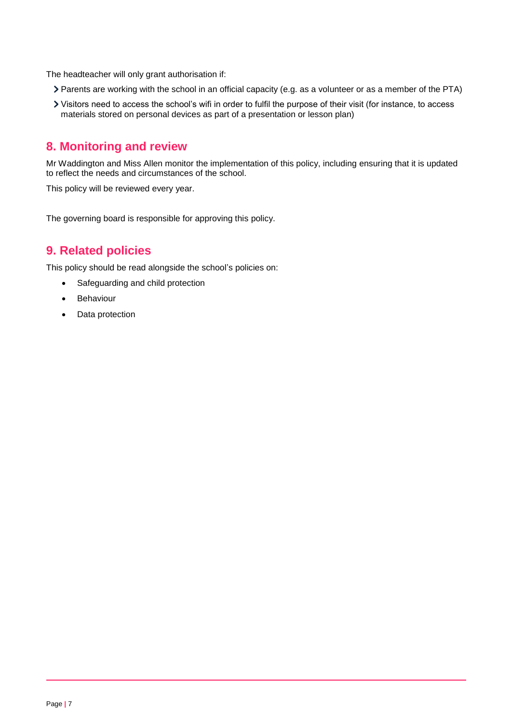The headteacher will only grant authorisation if:

- Parents are working with the school in an official capacity (e.g. as a volunteer or as a member of the PTA)
- Visitors need to access the school's wifi in order to fulfil the purpose of their visit (for instance, to access materials stored on personal devices as part of a presentation or lesson plan)

# <span id="page-6-0"></span>**8. Monitoring and review**

Mr Waddington and Miss Allen monitor the implementation of this policy, including ensuring that it is updated to reflect the needs and circumstances of the school.

This policy will be reviewed every year.

The governing board is responsible for approving this policy.

# <span id="page-6-1"></span>**9. Related policies**

This policy should be read alongside the school's policies on:

- Safeguarding and child protection
- Behaviour
- Data protection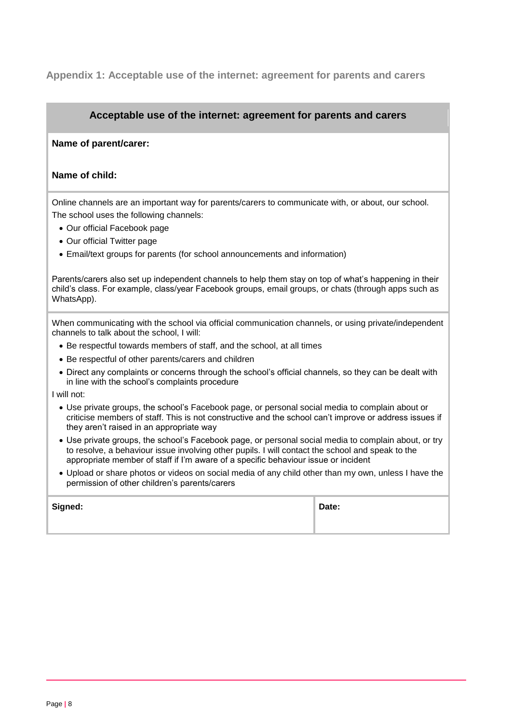## <span id="page-7-0"></span>**Appendix 1: Acceptable use of the internet: agreement for parents and carers**

#### **Acceptable use of the internet: agreement for parents and carers**

#### **Name of parent/carer:**

#### **Name of child:**

Online channels are an important way for parents/carers to communicate with, or about, our school. The school uses the following channels:

- Our official Facebook page
- Our official Twitter page
- Email/text groups for parents (for school announcements and information)

Parents/carers also set up independent channels to help them stay on top of what's happening in their child's class. For example, class/year Facebook groups, email groups, or chats (through apps such as WhatsApp).

When communicating with the school via official communication channels, or using private/independent channels to talk about the school, I will:

- Be respectful towards members of staff, and the school, at all times
- Be respectful of other parents/carers and children
- Direct any complaints or concerns through the school's official channels, so they can be dealt with in line with the school's complaints procedure

I will not:

- Use private groups, the school's Facebook page, or personal social media to complain about or criticise members of staff. This is not constructive and the school can't improve or address issues if they aren't raised in an appropriate way
- Use private groups, the school's Facebook page, or personal social media to complain about, or try to resolve, a behaviour issue involving other pupils. I will contact the school and speak to the appropriate member of staff if I'm aware of a specific behaviour issue or incident
- Upload or share photos or videos on social media of any child other than my own, unless I have the permission of other children's parents/carers

| Signed: | Date: |
|---------|-------|
|         |       |